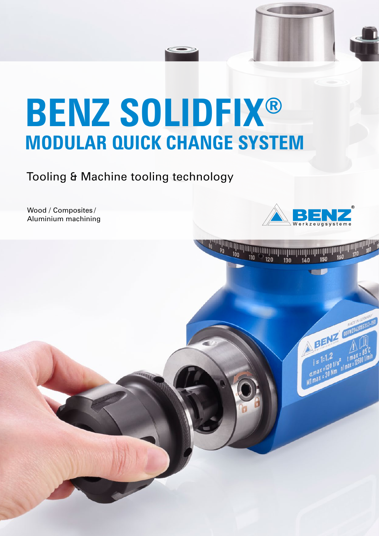# **BENZ SOLIDFIX® MODULAR QUICK CHANGE SYSTEM**

Tooling & Machine tooling technology

Wood / Composites / Aluminium machining



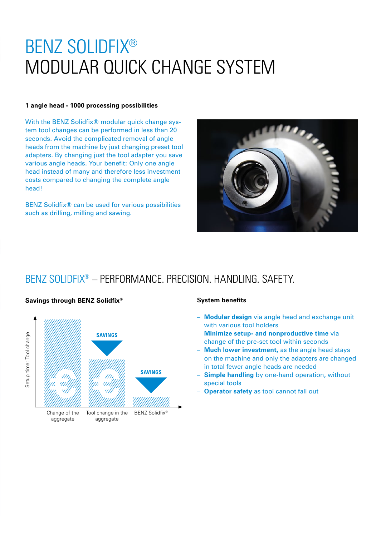## BENZ SOLIDFIX® MODULAR QUICK CHANGE SYSTEM

#### **1 angle head - 1000 processing possibilities**

With the BENZ Solidfix<sup>®</sup> modular quick change system tool changes can be performed in less than 20 seconds. Avoid the complicated removal of angle heads from the machine by just changing preset tool adapters. By changing just the tool adapter you save various angle heads. Your benefit: Only one angle head instead of many and therefore less investment costs compared to changing the complete angle head!

BENZ Solidfix® can be used for various possibilities such as drilling, milling and sawing.



#### BENZ SOLIDFIX® – PERFORMANCE. PRECISION. HANDLING. SAFETY.



#### **Savings through BENZ Solidfix® System benefits**

- **Modular design** via angle head and exchange unit with various tool holders
- **Minimize setup- and nonproductive time** via change of the pre-set tool within seconds
- **Much lower investment, as the angle head stays** on the machine and only the adapters are changed in total fewer angle heads are needed
- **Simple handling** by one-hand operation, without special tools
- **Operator safety** as tool cannot fall out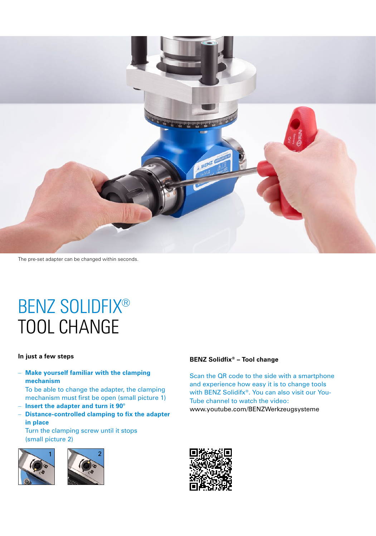

The pre-set adapter can be changed within seconds.

## BENZ SOLIDFIX® TOOL CHANGE

#### **In just a few steps**

- **Make yourself familiar with the clamping mechanism**
	- To be able to change the adapter, the clamping mechanism must first be open (small picture 1)
- **Insert the adapter and turn it 90°**
- **Distance-controlled clamping to fix the adapter in place** Turn the clamping screw until it stops

(small picture 2)





#### **BENZ Solidfix® – Tool change**

Scan the QR code to the side with a smartphone and experience how easy it is to change tools with BENZ Solidifx®. You can also visit our You-Tube channel to watch the video: www.youtube.com/BENZWerkzeugsysteme

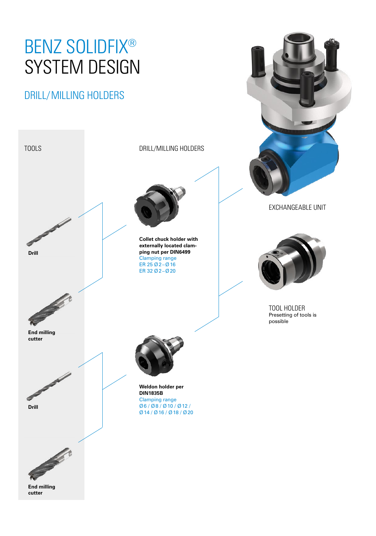## BENZ SOLIDFIX® SYSTEM DESIGN

### DRILL/MILLING HOLDERS

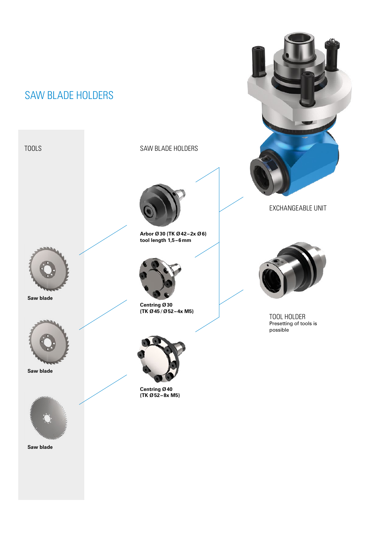### SAW BLADE HOLDERS



**Saw blade**



**Saw blade**



**Saw blade** 

TOOLS SAW BLADE HOLDERS



**Arbor Ø30 (TK Ø42–2x Ø6) tool length 1,5–6mm**



**Centring Ø30 (TK Ø45/Ø52–4x M5)**



**Centring Ø40 (TK Ø52–8x M5)**



EXCHANGEABLE UNIT



TOOL HOLDER Presetting of tools is possible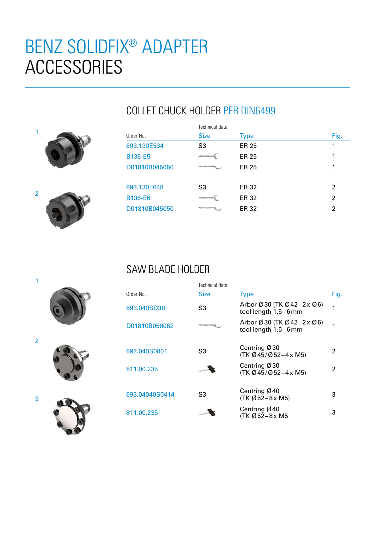## BENZ SOLIDFIX® ADAPTER **ACCESSORIES**

### COLLET CHUCK HOLDER PER DIN6499





|                | Technical data |             |      |  |  |
|----------------|----------------|-------------|------|--|--|
| Order No.      | <b>Size</b>    | <b>Type</b> | Fig. |  |  |
| 693.130E534    | S <sub>3</sub> | ER 25       |      |  |  |
| B136-E5        |                | ER 25       |      |  |  |
| D01810B045050  |                | ER 25       |      |  |  |
| 693.130E648    | S <sub>3</sub> | ER 32       | 2    |  |  |
| <b>B136-E6</b> |                | ER 32       | 2    |  |  |
| D01810B045050  |                | ER 32       | 2    |  |  |

#### SAW BLADE HOLDER

|                | Technical data |                                                                                         |      |
|----------------|----------------|-----------------------------------------------------------------------------------------|------|
| Order No.      | <b>Size</b>    | <b>Type</b>                                                                             | Fig. |
| 693.040SD38    | S3             | Arbor $\varnothing$ 30 (TK $\varnothing$ 42–2x $\varnothing$ 6)<br>tool length 1,5-6mm  | 1    |
| D01810B058062  |                | Arbor $\varnothing$ 30 (TK $\varnothing$ 42–2x $\varnothing$ 6)<br>tool length 1,5-6 mm | 1    |
| 693.040S0001   | S3             | Centring $Ø30$<br>(TK Ø 45/Ø 52-4 x M5)                                                 | 2    |
| 811.00.235     |                | Centring $\emptyset$ 30<br>$(TK \emptyset 45/\emptyset 52 - 4 \times M5)$               | 2    |
| 693.04040S0414 | S3             | Centring Ø40<br>$(TK \emptyset 52 - 8x M5)$                                             | З    |
| 811.00.235     |                | Centring $Ø$ 40<br>(TK Ø 52-8 x M5                                                      | 3    |





3

2

1

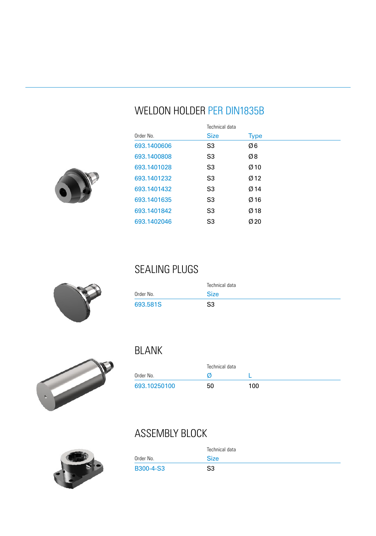### WELDON HOLDER PER DIN1835B

|             | Technical data |             |
|-------------|----------------|-------------|
| Order No.   | <b>Size</b>    | <b>Type</b> |
| 693.1400606 | S3             | Ø6          |
| 693.1400808 | S3             | Ø8          |
| 693.1401028 | S3             | $Ø$ 10      |
| 693.1401232 | S3             | Ø12         |
| 693.1401432 | S3             | Ø 14        |
| 693.1401635 | S3             | Ø16         |
| 693.1401842 | S3             | $Ø$ 18      |
| 693.1402046 | S3             | Ø20         |



#### SEALING PLUGS

|           | Technical data |  |
|-----------|----------------|--|
| Order No. | <b>Size</b>    |  |
| 693.581S  | S3             |  |



#### BLANK

|              | Technical data |     |
|--------------|----------------|-----|
| Order No.    |                |     |
| 693.10250100 | 50             | 100 |

## ASSEMBLY BLOCK

|           | Technical data |
|-----------|----------------|
| Order No. | <b>Size</b>    |
| B300-4-S3 | S3             |